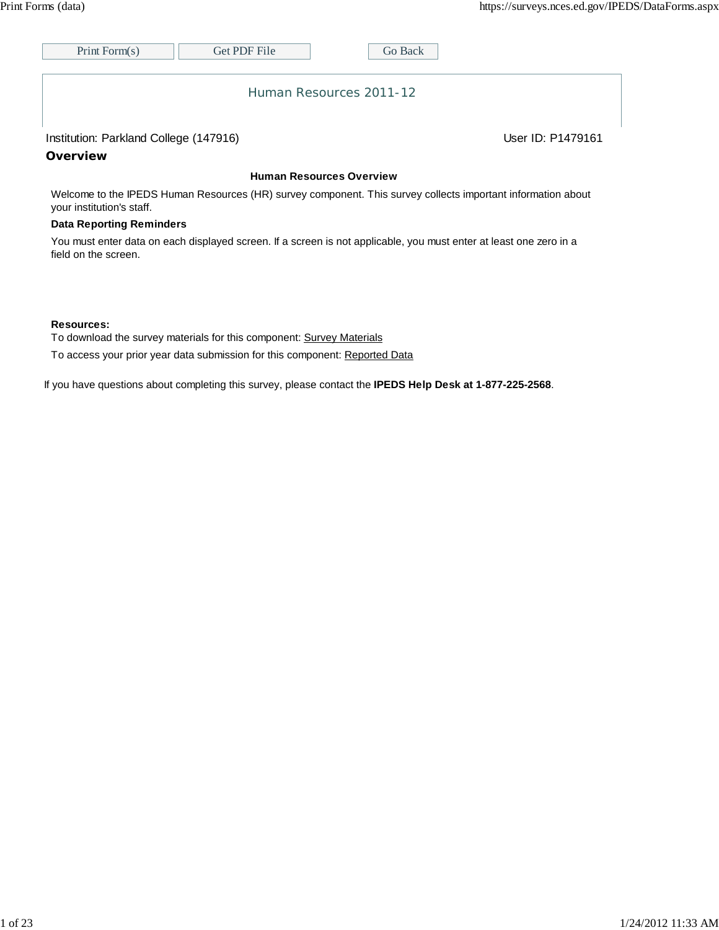| Print Form $(s)$        | <b>Get PDF File</b> |  | Go Back |  |  |  |
|-------------------------|---------------------|--|---------|--|--|--|
|                         |                     |  |         |  |  |  |
|                         |                     |  |         |  |  |  |
| Human Resources 2011-12 |                     |  |         |  |  |  |

### Institution: Parkland College (147916) Contract College (147916)

**Overview**

#### **Human Resources Overview**

Welcome to the IPEDS Human Resources (HR) survey component. This survey collects important information about your institution's staff.

#### **Data Reporting Reminders**

You must enter data on each displayed screen. If a screen is not applicable, you must enter at least one zero in a field on the screen.

#### **Resources:**

To download the survey materials for this component: Survey Materials

To access your prior year data submission for this component: Reported Data

If you have questions about completing this survey, please contact the **IPEDS Help Desk at 1-877-225-2568**.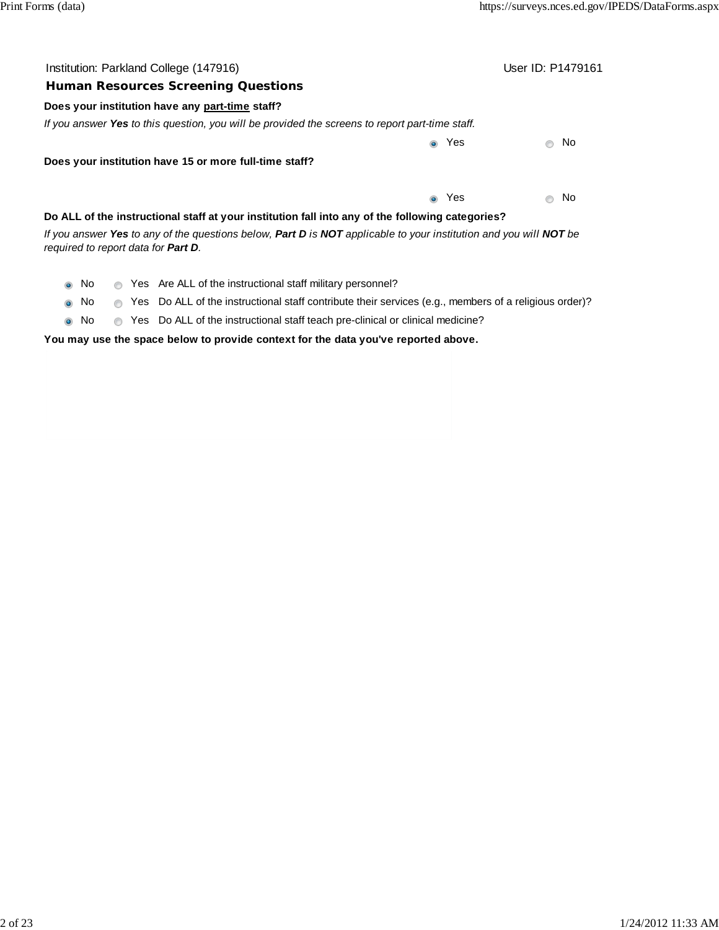| Institution: Parkland College (147916)                                                                                                                           | User ID: P1479161 |
|------------------------------------------------------------------------------------------------------------------------------------------------------------------|-------------------|
| <b>Human Resources Screening Questions</b>                                                                                                                       |                   |
| Does your institution have any part-time staff?                                                                                                                  |                   |
| If you answer Yes to this question, you will be provided the screens to report part-time staff.                                                                  |                   |
| Yes<br>$\bullet$                                                                                                                                                 | No                |
| Does your institution have 15 or more full-time staff?                                                                                                           |                   |
| Yes<br>$\bullet$                                                                                                                                                 | No                |
| Do ALL of the instructional staff at your institution fall into any of the following categories?                                                                 |                   |
| If you answer Yes to any of the questions below, Part D is NOT applicable to your institution and you will NOT be<br>required to report data for <b>Part D</b> . |                   |
| Yes Are ALL of the instructional staff military personnel?<br>No.<br>$\bigcirc$<br>$\bullet$                                                                     |                   |
| Yes Do ALL of the instructional staff contribute their services (e.g., members of a religious order)?<br>No.<br>$\circledcirc$<br>$\odot$                        |                   |

 $\bullet$  No  $\bullet$  Yes Do ALL of the instructional staff teach pre-clinical or clinical medicine?

# **You may use the space below to provide context for the data you've reported above.**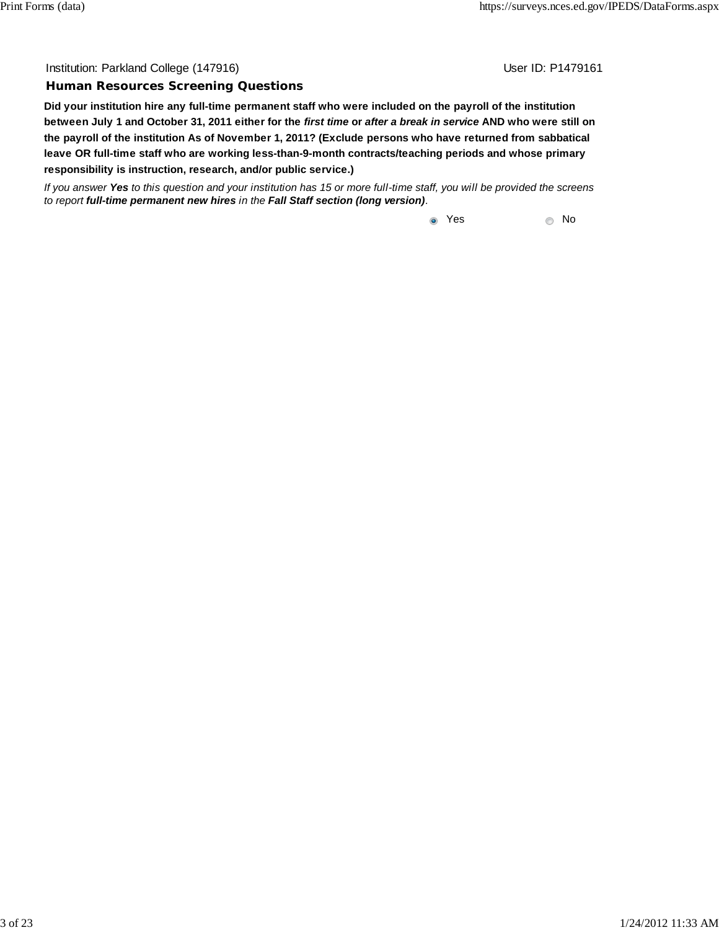Institution: Parkland College (147916) November 2012 12: Physics User ID: P1479161

#### **Human Resources Screening Questions**

**Did your institution hire any full-time permanent staff who were included on the payroll of the institution between July 1 and October 31, 2011 either for the** *first time* **or** *after a break in service* **AND who were still on the payroll of the institution As of November 1, 2011? (Exclude persons who have returned from sabbatical leave OR full-time staff who are working less-than-9-month contracts/teaching periods and whose primary responsibility is instruction, research, and/or public service.)**

*If you answer Yes to this question and your institution has 15 or more full-time staff, you will be provided the screens to report full-time permanent new hires in the Fall Staff section (long version).*

to the vest and the vest and the vest and the vest and vertical vertical  $\sim$  No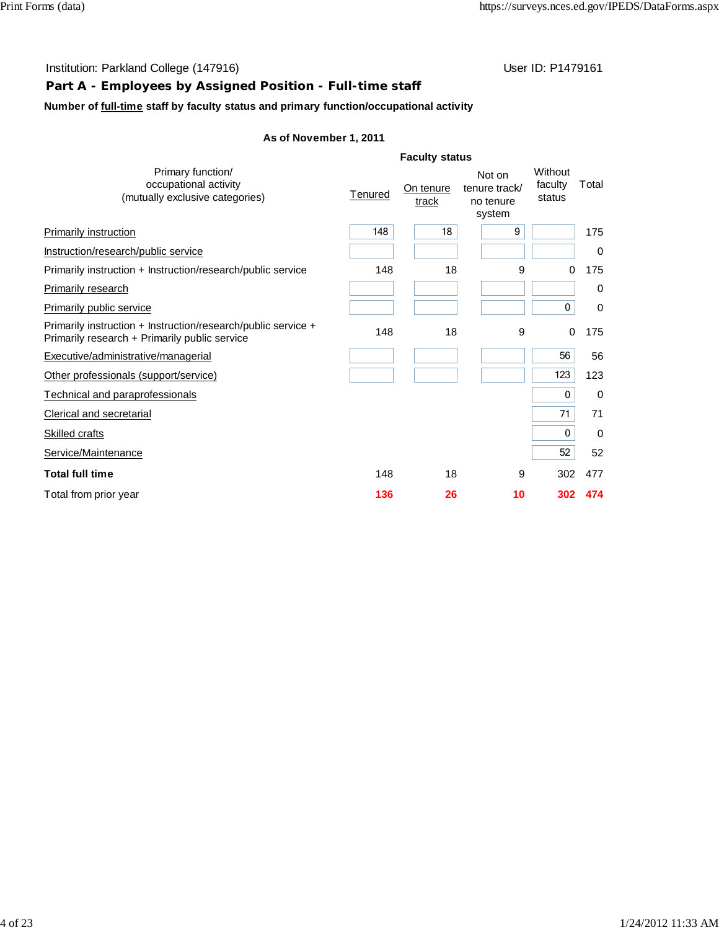# **Part A - Employees by Assigned Position - Full-time staff**

**Number of full-time staff by faculty status and primary function/occupational activity**

|                                                                                                                |         | <b>Faculty status</b> |                                                |                              |       |
|----------------------------------------------------------------------------------------------------------------|---------|-----------------------|------------------------------------------------|------------------------------|-------|
| Primary function/<br>occupational activity<br>(mutually exclusive categories)                                  | Tenured | On tenure<br>track    | Not on<br>tenure track/<br>no tenure<br>system | Without<br>faculty<br>status | Total |
| <b>Primarily instruction</b>                                                                                   | 148     | 18                    | 9                                              |                              | 175   |
| Instruction/research/public service                                                                            |         |                       |                                                |                              | 0     |
| Primarily instruction + Instruction/research/public service                                                    | 148     | 18                    | 9                                              | 0                            | 175   |
| Primarily research                                                                                             |         |                       |                                                |                              | 0     |
| Primarily public service                                                                                       |         |                       |                                                | 0                            | 0     |
| Primarily instruction + Instruction/research/public service +<br>Primarily research + Primarily public service | 148     | 18                    | 9                                              | 0                            | 175   |
| Executive/administrative/managerial                                                                            |         |                       |                                                | 56                           | 56    |
| Other professionals (support/service)                                                                          |         |                       |                                                | 123                          | 123   |
| Technical and paraprofessionals                                                                                |         |                       |                                                | 0                            | 0     |
| Clerical and secretarial                                                                                       |         |                       |                                                | 71                           | 71    |
| <b>Skilled crafts</b>                                                                                          |         |                       |                                                | $\mathbf{0}$                 | 0     |
| Service/Maintenance                                                                                            |         |                       |                                                | 52                           | 52    |
| <b>Total full time</b>                                                                                         | 148     | 18                    | 9                                              | 302                          | 477   |
| Total from prior year                                                                                          | 136     | 26                    | 10                                             | 302                          | 474   |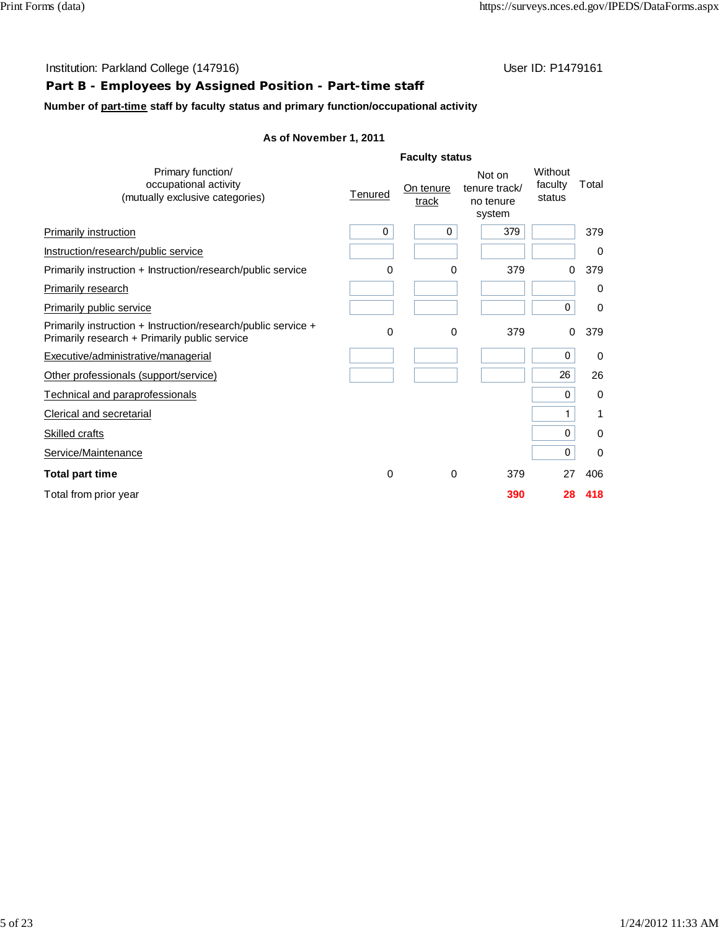# **Part B - Employees by Assigned Position - Part-time staff**

## **Number of part-time staff by faculty status and primary function/occupational activity**

|   | On tenure<br>track | Not on<br>tenure track/<br>no tenure<br>system | Without<br>faculty<br>status | Total       |
|---|--------------------|------------------------------------------------|------------------------------|-------------|
| 0 | 0                  | 379                                            |                              | 379         |
|   |                    |                                                |                              | 0           |
|   | 0                  | 379                                            | 0                            | 379         |
|   |                    |                                                |                              | 0           |
|   |                    |                                                | 0                            | 0           |
|   | 0                  | 379                                            |                              | 379         |
|   |                    |                                                | 0                            | $\mathbf 0$ |
|   |                    |                                                | 26                           | 26          |
|   |                    |                                                | 0                            | 0           |
|   |                    |                                                |                              | 1           |
|   |                    |                                                | 0                            | 0           |
|   |                    |                                                | 0                            | 0           |
|   | 0                  | 379                                            | 27                           | 406         |
|   |                    | 390                                            | 28                           | 418         |
|   | Tenured            | 0<br>0<br>0                                    | <b>Faculty status</b>        | 0           |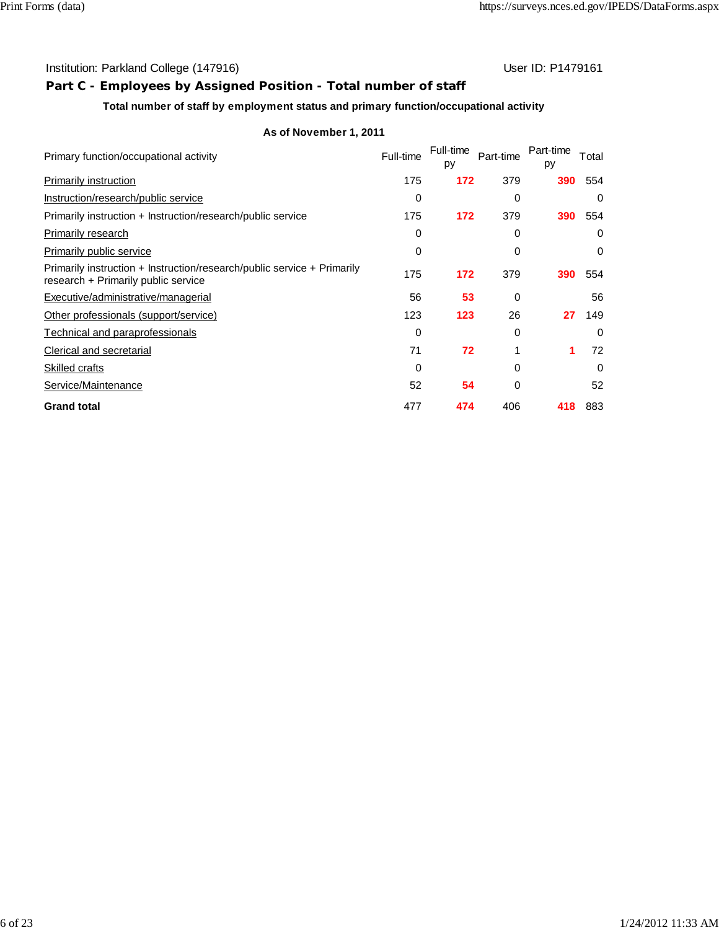# **Part C - Employees by Assigned Position - Total number of staff**

## **Total number of staff by employment status and primary function/occupational activity**

| Primary function/occupational activity                                                                         | Full-time | Full-time<br>py | Part-time | Part-time<br>py | Total |
|----------------------------------------------------------------------------------------------------------------|-----------|-----------------|-----------|-----------------|-------|
| Primarily instruction                                                                                          | 175       | 172             | 379       | 390             | 554   |
| Instruction/research/public service                                                                            | 0         |                 | 0         |                 | 0     |
| Primarily instruction + Instruction/research/public service                                                    | 175       | 172             | 379       | 390             | 554   |
| Primarily research                                                                                             | 0         |                 | 0         |                 | 0     |
| Primarily public service                                                                                       | 0         |                 | 0         |                 | 0     |
| Primarily instruction + Instruction/research/public service + Primarily<br>research + Primarily public service | 175       | 172             | 379       | 390             | 554   |
| Executive/administrative/managerial                                                                            | 56        | 53              | 0         |                 | 56    |
| Other professionals (support/service)                                                                          | 123       | 123             | 26        | 27              | 149   |
| Technical and paraprofessionals                                                                                | 0         |                 | 0         |                 | 0     |
| Clerical and secretarial                                                                                       | 71        | 72              |           | 1               | 72    |
| Skilled crafts                                                                                                 | 0         |                 | 0         |                 | 0     |
| Service/Maintenance                                                                                            | 52        | 54              | 0         |                 | 52    |
| <b>Grand total</b>                                                                                             | 477       | 474             | 406       | 418             | 883   |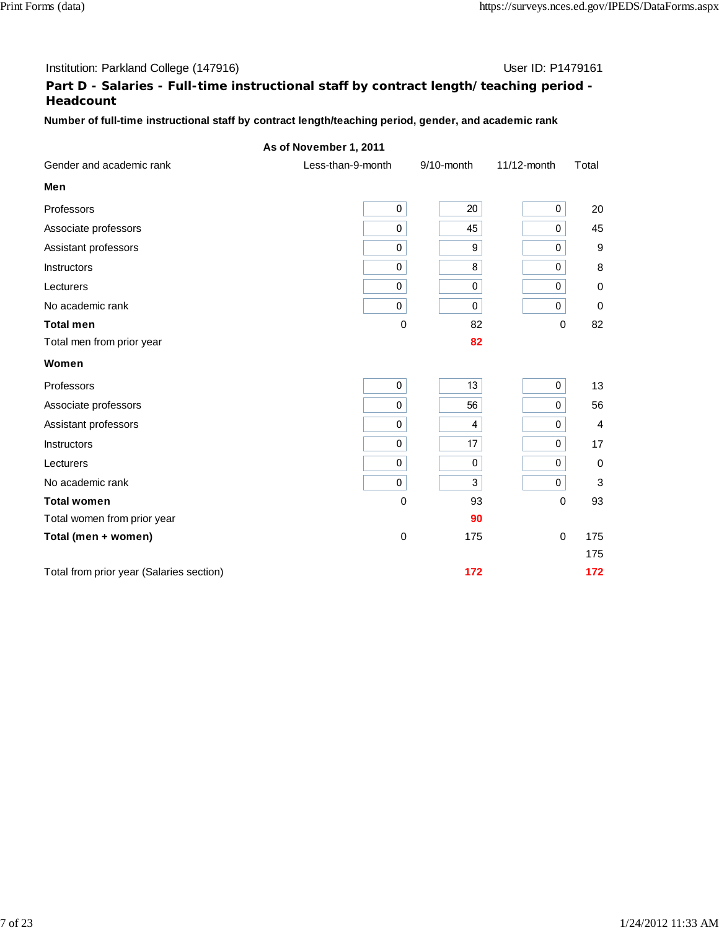#### Institution: Parkland College (147916) Contract College (147916)

# **Part D - Salaries - Full-time instructional staff by contract length/teaching period - Headcount**

## **Number of full-time instructional staff by contract length/teaching period, gender, and academic rank**

|                                          | As of November 1, 2011 |              |             |                  |
|------------------------------------------|------------------------|--------------|-------------|------------------|
| Gender and academic rank                 | Less-than-9-month      | 9/10-month   | 11/12-month | Total            |
| Men                                      |                        |              |             |                  |
| Professors                               | 0                      | 20           | $\mathbf 0$ | 20               |
| Associate professors                     | 0                      | 45           | 0           | 45               |
| Assistant professors                     | 0                      | 9            | $\mathbf 0$ | $\boldsymbol{9}$ |
| <b>Instructors</b>                       | $\mathbf 0$            | 8            | $\mathbf 0$ | 8                |
| Lecturers                                | 0                      | $\mathbf 0$  | $\mathbf 0$ | $\pmb{0}$        |
| No academic rank                         | 0                      | $\pmb{0}$    | 0           | $\pmb{0}$        |
| <b>Total men</b>                         | $\mathbf 0$            | 82           | $\Omega$    | 82               |
| Total men from prior year                |                        | 82           |             |                  |
| Women                                    |                        |              |             |                  |
| Professors                               | $\pmb{0}$              | 13           | $\pmb{0}$   | 13               |
| Associate professors                     | $\mathbf 0$            | 56           | $\mathbf 0$ | 56               |
| Assistant professors                     | $\mathbf 0$            | 4            | $\mathbf 0$ | $\overline{4}$   |
| <b>Instructors</b>                       | 0                      | 17           | $\pmb{0}$   | 17               |
| Lecturers                                | 0                      | $\pmb{0}$    | $\mathbf 0$ | 0                |
| No academic rank                         | 0                      | $\mathbf{3}$ | $\mathbf 0$ | 3                |
| <b>Total women</b>                       | $\mathbf 0$            | 93           | $\mathbf 0$ | 93               |
| Total women from prior year              |                        | 90           |             |                  |
| Total (men + women)                      | $\pmb{0}$              | 175          | 0           | 175              |
|                                          |                        |              |             | 175              |
| Total from prior year (Salaries section) |                        | 172          |             | 172              |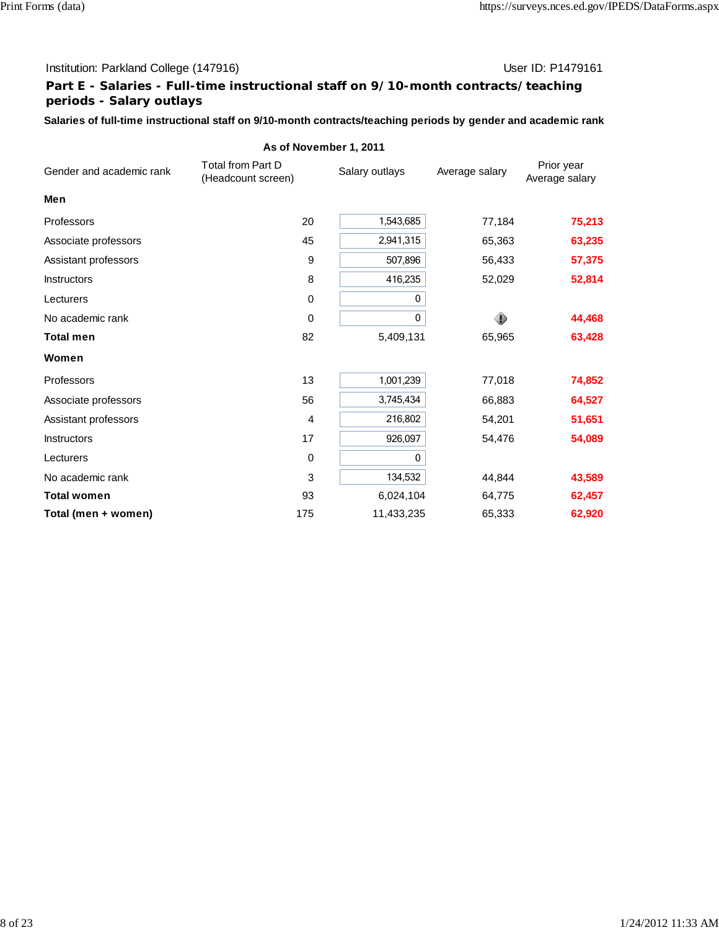### Institution: Parkland College (147916) Contract College (147916)

# **Part E - Salaries - Full-time instructional staff on 9/10-month contracts/teaching periods - Salary outlays**

**Salaries of full-time instructional staff on 9/10-month contracts/teaching periods by gender and academic rank**

|                          | AS OT NOVEMBER 1, 2011                         |                |                |                              |
|--------------------------|------------------------------------------------|----------------|----------------|------------------------------|
| Gender and academic rank | <b>Total from Part D</b><br>(Headcount screen) | Salary outlays | Average salary | Prior year<br>Average salary |
| Men                      |                                                |                |                |                              |
| Professors               | 20                                             | 1,543,685      | 77,184         | 75,213                       |
| Associate professors     | 45                                             | 2,941,315      | 65,363         | 63,235                       |
| Assistant professors     | 9                                              | 507,896        | 56,433         | 57,375                       |
| <b>Instructors</b>       | 8                                              | 416,235        | 52,029         | 52,814                       |
| Lecturers                | 0                                              | 0              |                |                              |
| No academic rank         | 0                                              | 0              |                | 44,468                       |
| <b>Total men</b>         | 82                                             | 5,409,131      | 65,965         | 63,428                       |
| Women                    |                                                |                |                |                              |
| Professors               | 13                                             | 1,001,239      | 77,018         | 74,852                       |
| Associate professors     | 56                                             | 3,745,434      | 66,883         | 64,527                       |
| Assistant professors     | 4                                              | 216,802        | 54,201         | 51,651                       |
| <b>Instructors</b>       | 17                                             | 926,097        | 54,476         | 54,089                       |
| Lecturers                | $\pmb{0}$                                      | 0              |                |                              |
| No academic rank         | 3                                              | 134,532        | 44,844         | 43,589                       |
| <b>Total women</b>       | 93                                             | 6,024,104      | 64,775         | 62,457                       |
| Total (men + women)      | 175                                            | 11,433,235     | 65,333         | 62,920                       |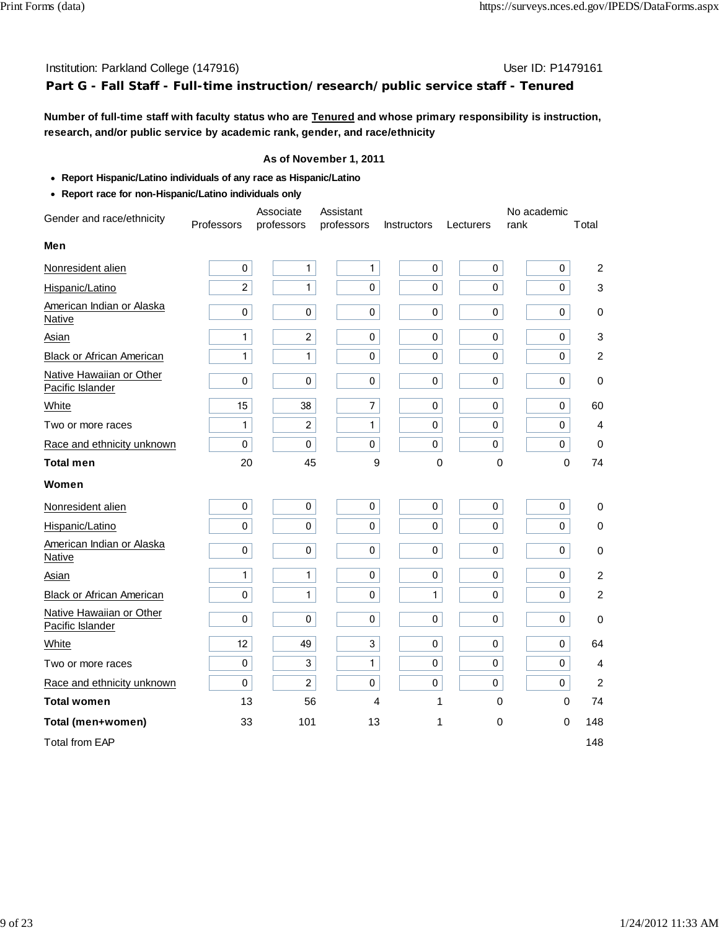# Institution: Parkland College (147916) **Institution: Parkland College (147916**) **Part G - Fall Staff - Full-time instruction/research/public service staff - Tenured**

**Number of full-time staff with faculty status who are Tenured and whose primary responsibility is instruction, research, and/or public service by academic rank, gender, and race/ethnicity**

- **Report Hispanic/Latino individuals of any race as Hispanic/Latino**
- **Report race for non-Hispanic/Latino individuals only**

| Gender and race/ethnicity                    |                | Associate      | Assistant      |              |             | No academic  |                |
|----------------------------------------------|----------------|----------------|----------------|--------------|-------------|--------------|----------------|
|                                              | Professors     | professors     | professors     | Instructors  | Lecturers   | rank         | Total          |
| Men                                          |                |                |                |              |             |              |                |
| Nonresident alien                            | $\pmb{0}$      | $\mathbf{1}$   | $\mathbf{1}$   | $\pmb{0}$    | $\pmb{0}$   | $\pmb{0}$    | $\overline{c}$ |
| Hispanic/Latino                              | $\overline{c}$ | $\mathbf{1}$   | $\pmb{0}$      | 0            | $\pmb{0}$   | $\pmb{0}$    | 3              |
| American Indian or Alaska<br><b>Native</b>   | 0              | 0              | $\mathbf 0$    | 0            | 0           | $\mathbf 0$  | 0              |
| Asian                                        | $\mathbf{1}$   | $\overline{c}$ | $\pmb{0}$      | 0            | $\pmb{0}$   | $\pmb{0}$    | 3              |
| Black or African American                    | 1              | $\mathbf{1}$   | $\pmb{0}$      | 0            | $\pmb{0}$   | 0            | $\overline{c}$ |
| Native Hawaiian or Other<br>Pacific Islander | 0              | $\mathbf 0$    | $\pmb{0}$      | 0            | 0           | $\mathbf 0$  | 0              |
| White                                        | 15             | 38             | $\overline{7}$ | 0            | 0           | 0            | 60             |
| Two or more races                            | 1              | $\overline{c}$ | 1              | 0            | 0           | $\mathbf 0$  | 4              |
| Race and ethnicity unknown                   | $\pmb{0}$      | 0              | 0              | 0            | 0           | $\mathbf 0$  | $\mathbf 0$    |
| <b>Total men</b>                             | 20             | 45             | 9              | 0            | $\Omega$    | $\mathbf{0}$ | 74             |
| Women                                        |                |                |                |              |             |              |                |
| Nonresident alien                            | 0              | 0              | 0              | 0            | 0           | 0            | 0              |
| Hispanic/Latino                              | 0              | $\mathbf 0$    | $\mathbf 0$    | 0            | $\mathbf 0$ | 0            | $\mathbf 0$    |
| American Indian or Alaska<br>Native          | 0              | 0              | $\pmb{0}$      | $\pmb{0}$    | 0           | 0            | $\,0\,$        |
| Asian                                        | 1              | $\mathbf{1}$   | $\mathbf 0$    | $\pmb{0}$    | 0           | $\mathbf 0$  | $\overline{c}$ |
| <b>Black or African American</b>             | 0              | $\mathbf{1}$   | 0              | $\mathbf{1}$ | $\mathbf 0$ | $\Omega$     | 2              |
| Native Hawaiian or Other<br>Pacific Islander | 0              | $\pmb{0}$      | $\pmb{0}$      | 0            | $\pmb{0}$   | $\pmb{0}$    | $\mathbf 0$    |
| White                                        | 12             | 49             | 3              | 0            | 0           | $\mathbf 0$  | 64             |
| Two or more races                            | $\pmb{0}$      | 3              | 1              | 0            | 0           | $\pmb{0}$    | 4              |
| Race and ethnicity unknown                   | 0              | $\overline{c}$ | $\pmb{0}$      | $\pmb{0}$    | $\pmb{0}$   | $\pmb{0}$    | 2              |
| <b>Total women</b>                           | 13             | 56             | $\overline{4}$ | 1            | 0           | 0            | 74             |
| Total (men+women)                            | 33             | 101            | 13             | 1            | 0           | 0            | 148            |
| <b>Total from EAP</b>                        |                |                |                |              |             |              | 148            |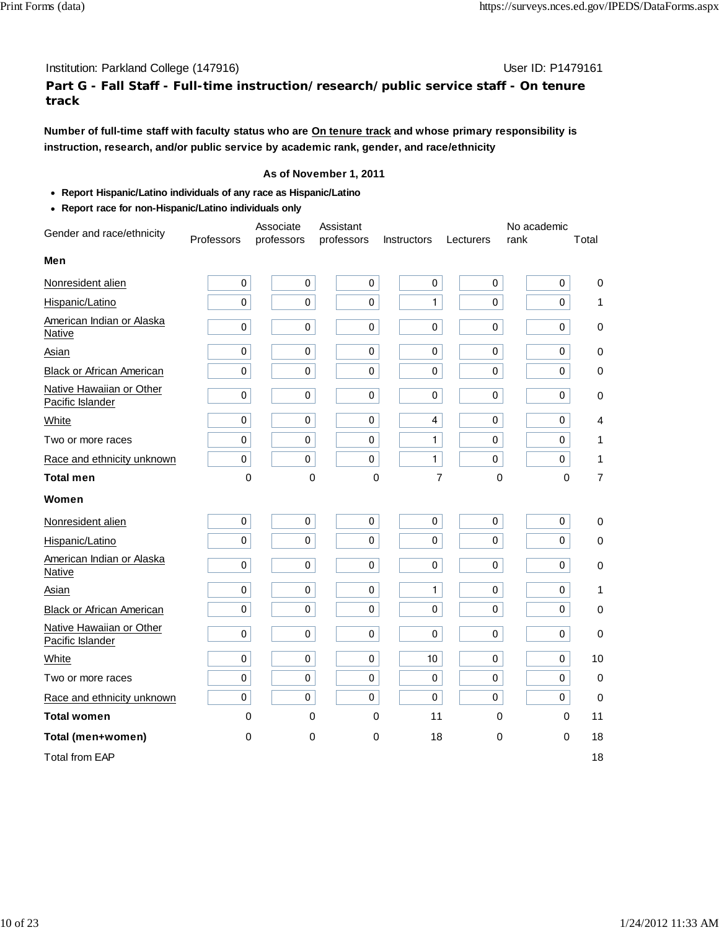**Part G - Fall Staff - Full-time instruction/research/public service staff - On tenure track**

**Number of full-time staff with faculty status who are On tenure track and whose primary responsibility is instruction, research, and/or public service by academic rank, gender, and race/ethnicity**

- **Report Hispanic/Latino individuals of any race as Hispanic/Latino**
- **Report race for non-Hispanic/Latino individuals only**

| Gender and race/ethnicity                    |             | Associate  | Assistant  |                    |             | No academic |                  |
|----------------------------------------------|-------------|------------|------------|--------------------|-------------|-------------|------------------|
|                                              | Professors  | professors | professors | <b>Instructors</b> | Lecturers   | rank        | Total            |
| Men                                          |             |            |            |                    |             |             |                  |
| Nonresident alien                            | 0           | 0          | $\pmb{0}$  | 0                  | 0           | 0           | $\mathbf 0$      |
| Hispanic/Latino                              | 0           | 0          | 0          | $\mathbf{1}$       | 0           | 0           | 1                |
| American Indian or Alaska<br><b>Native</b>   | 0           | 0          | 0          | 0                  | 0           | 0           | $\mathbf 0$      |
| Asian                                        | 0           | 0          | 0          | 0                  | 0           | 0           | $\mathbf 0$      |
| <b>Black or African American</b>             | 0           | 0          | 0          | 0                  | $\mathbf 0$ | 0           | $\mathbf 0$      |
| Native Hawaiian or Other<br>Pacific Islander | 0           | 0          | 0          | $\pmb{0}$          | $\pmb{0}$   | 0           | 0                |
| White                                        | 0           | 0          | 0          | 4                  | $\mathbf 0$ | 0           | 4                |
| Two or more races                            | $\pmb{0}$   | 0          | 0          | 1                  | 0           | 0           | 1                |
| Race and ethnicity unknown                   | 0           | 0          | 0          | $\mathbf{1}$       | 0           | $\mathbf 0$ | 1                |
| <b>Total men</b>                             | $\mathbf 0$ | 0          | 0          | $\overline{7}$     | $\mathbf 0$ | 0           | $\overline{7}$   |
| Women                                        |             |            |            |                    |             |             |                  |
| Nonresident alien                            | 0           | 0          | 0          | 0                  | 0           | 0           | $\mathbf 0$      |
| Hispanic/Latino                              | 0           | 0          | 0          | $\pmb{0}$          | $\pmb{0}$   | 0           | 0                |
| American Indian or Alaska<br><b>Native</b>   | 0           | 0          | 0          | 0                  | 0           | 0           | $\pmb{0}$        |
| Asian                                        | 0           | 0          | 0          | $\mathbf{1}$       | 0           | $\mathbf 0$ | 1                |
| <b>Black or African American</b>             | 0           | 0          | 0          | 0                  | 0           | 0           | $\pmb{0}$        |
| Native Hawaiian or Other<br>Pacific Islander | 0           | 0          | 0          | $\pmb{0}$          | 0           | 0           | $\boldsymbol{0}$ |
| White                                        | 0           | 0          | 0          | 10                 | 0           | $\mathbf 0$ | 10               |
| Two or more races                            | 0           | 0          | 0          | 0                  | 0           | 0           | $\mathbf 0$      |
| Race and ethnicity unknown                   | 0           | 0          | 0          | 0                  | 0           | 0           | $\mathbf 0$      |
| <b>Total women</b>                           | $\mathbf 0$ | 0          | 0          | 11                 | 0           | $\mathbf 0$ | 11               |
| Total (men+women)                            | 0           | 0          | 0          | 18                 | 0           | 0           | 18               |
| <b>Total from EAP</b>                        |             |            |            |                    |             |             | 18               |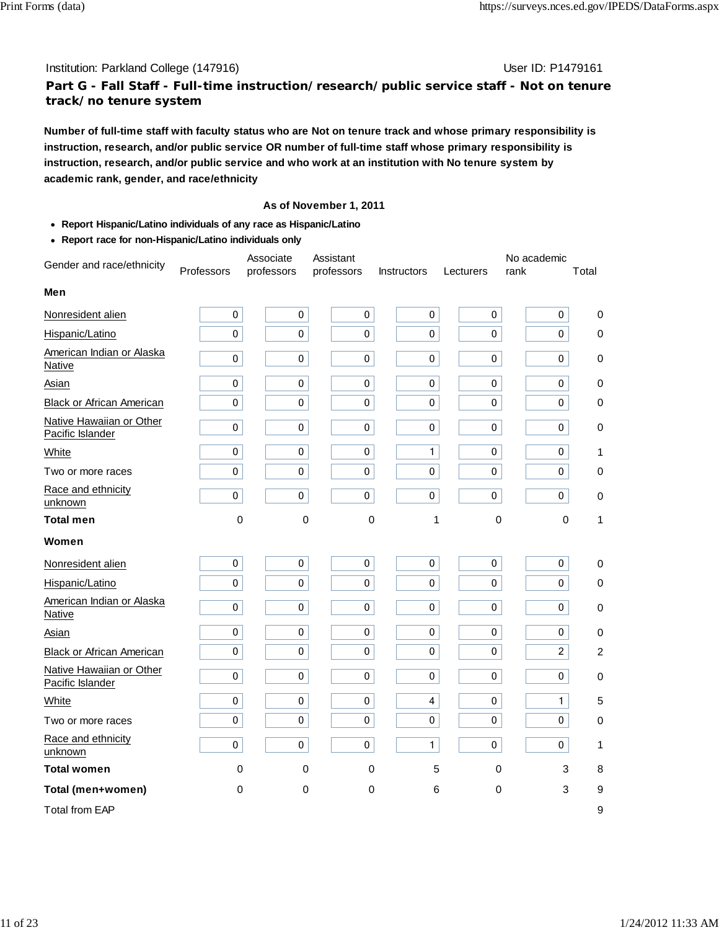#### Institution: Parkland College (147916) November 2012 12: P1479161

## **Part G - Fall Staff - Full-time instruction/research/public service staff - Not on tenure track/no tenure system**

**Number of full-time staff with faculty status who are Not on tenure track and whose primary responsibility is instruction, research, and/or public service OR number of full-time staff whose primary responsibility is instruction, research, and/or public service and who work at an institution with No tenure system by academic rank, gender, and race/ethnicity**

- **Report Hispanic/Latino individuals of any race as Hispanic/Latino**
- **Report race for non-Hispanic/Latino individuals only**

| Gender and race/ethnicity                    |            | Associate   | Assistant   |                    |           | No academic    |                  |
|----------------------------------------------|------------|-------------|-------------|--------------------|-----------|----------------|------------------|
|                                              | Professors | professors  | professors  | <b>Instructors</b> | Lecturers | rank           | Total            |
| Men                                          |            |             |             |                    |           |                |                  |
| Nonresident alien                            | $\pmb{0}$  | 0           | 0           | $\mathbf 0$        | 0         | 0              | 0                |
| Hispanic/Latino                              | 0          | $\mathbf 0$ | $\pmb{0}$   | 0                  | 0         | 0              | $\pmb{0}$        |
| American Indian or Alaska<br><b>Native</b>   | $\pmb{0}$  | $\pmb{0}$   | $\pmb{0}$   | 0                  | $\pmb{0}$ | $\pmb{0}$      | $\pmb{0}$        |
| Asian                                        | 0          | $\pmb{0}$   | $\pmb{0}$   | 0                  | $\Omega$  | $\pmb{0}$      | 0                |
| <b>Black or African American</b>             | $\pmb{0}$  | $\pmb{0}$   | $\pmb{0}$   | $\mathbf{0}$       | $\pmb{0}$ | 0              | $\pmb{0}$        |
| Native Hawaiian or Other<br>Pacific Islander | 0          | $\pmb{0}$   | $\pmb{0}$   | $\mathbf 0$        | 0         | 0              | $\pmb{0}$        |
| White                                        | 0          | 0           | $\pmb{0}$   | $\mathbf{1}$       | 0         | $\pmb{0}$      | 1                |
| Two or more races                            | 0          | $\pmb{0}$   | $\pmb{0}$   | 0                  | 0         | 0              | $\pmb{0}$        |
| Race and ethnicity<br>unknown                | $\pmb{0}$  | $\pmb{0}$   | $\pmb{0}$   | $\mathbf 0$        | $\pmb{0}$ | 0              | $\pmb{0}$        |
| <b>Total men</b>                             | 0          | $\mathbf 0$ | $\mathbf 0$ | 1                  | $\pmb{0}$ | $\mathbf 0$    | 1                |
| Women                                        |            |             |             |                    |           |                |                  |
| Nonresident alien                            | 0          | $\pmb{0}$   | $\pmb{0}$   | $\pmb{0}$          | 0         | 0              | 0                |
| Hispanic/Latino                              | $\pmb{0}$  | $\mathbf 0$ | $\mathbf 0$ | $\mathbf 0$        | $\pmb{0}$ | 0              | 0                |
| American Indian or Alaska<br>Native          | $\pmb{0}$  | $\pmb{0}$   | $\pmb{0}$   | $\mathbf 0$        | 0         | 0              | $\pmb{0}$        |
| Asian                                        | 0          | 0           | 0           | $\pmb{0}$          | 0         | 0              | 0                |
| <b>Black or African American</b>             | 0          | $\mathbf 0$ | $\mathbf 0$ | $\mathbf 0$        | $\pmb{0}$ | $\overline{c}$ | $\overline{c}$   |
| Native Hawaiian or Other<br>Pacific Islander | 0          | 0           | 0           | $\mathbf 0$        | 0         | 0              | $\pmb{0}$        |
| White                                        | 0          | $\pmb{0}$   | $\pmb{0}$   | 4                  | 0         | $\mathbf{1}$   | 5                |
| Two or more races                            | $\pmb{0}$  | $\pmb{0}$   | $\pmb{0}$   | 0                  | 0         | 0              | 0                |
| Race and ethnicity<br>unknown                | $\pmb{0}$  | $\pmb{0}$   | $\pmb{0}$   | 1                  | $\pmb{0}$ | 0              | 1                |
| <b>Total women</b>                           | 0          | 0           | 0           | 5                  | 0         | 3              | 8                |
| Total (men+women)                            | 0          | 0           | $\pmb{0}$   | 6                  | $\pmb{0}$ | 3              | $\boldsymbol{9}$ |
| <b>Total from EAP</b>                        |            |             |             |                    |           |                | 9                |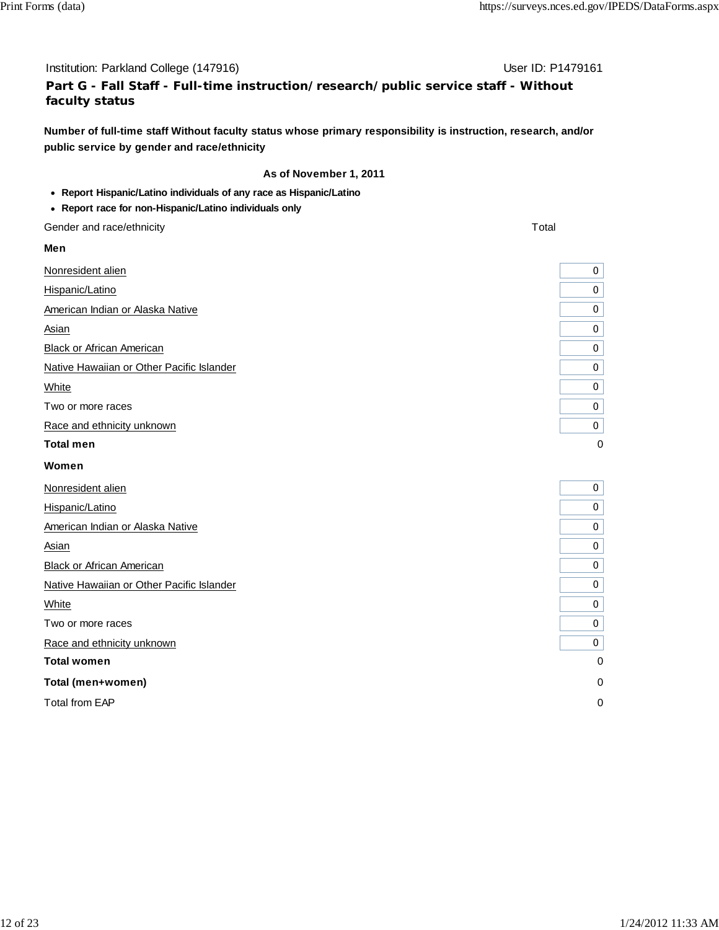#### Institution: Parkland College (147916) November 2012 12: P1479161

# **Part G - Fall Staff - Full-time instruction/research/public service staff - Without faculty status**

**Number of full-time staff Without faculty status whose primary responsibility is instruction, research, and/or public service by gender and race/ethnicity**

#### **As of November 1, 2011**

**Report Hispanic/Latino individuals of any race as Hispanic/Latino**

#### **Report race for non-Hispanic/Latino individuals only**

Gender and race/ethnicity Total and The Contract of the Contract of the Contract of Total and Total and Total and Total and Total and Total and Total and Total and Total and Total and Total and Total and Total and Total an

#### **Men**

Nonresident alien and the set of the set of the set of the set of the set of the set of the set of the set of the set of the set of the set of the set of the set of the set of the set of the set of the set of the set of th Hispanic/Latino American Indian or Alaska Native Asian 0 **Black or African American** Native Hawaiian or Other Pacific Islander white the contract of the contract of the contract of the contract of the contract of the contract of the contract of the contract of the contract of the contract of the contract of the contract of the contract of the cont Two or more races Race and ethnicity unknown **Total men** 0 **Women** Nonresident alien Hispanic/Latino American Indian or Alaska Native Asian 0 Black or African American Native Hawaiian or Other Pacific Islander white the contract of the contract of the contract of the contract of the contract of the contract of the contract of the contract of the contract of the contract of the contract of the contract of the contract of the cont Two or more races Race and ethnicity unknown 0 **Total women Total (men+women)** 0

Total from EAP

| J |
|---|
| 0 |
| 0 |
| 0 |
| 0 |
| 0 |
| 0 |
| 0 |
| 0 |
|   |

| 0 |
|---|
| 0 |
| 0 |
| 0 |
| 0 |
| 0 |
| 0 |
| 0 |
| 0 |
| 0 |
| 0 |
| C |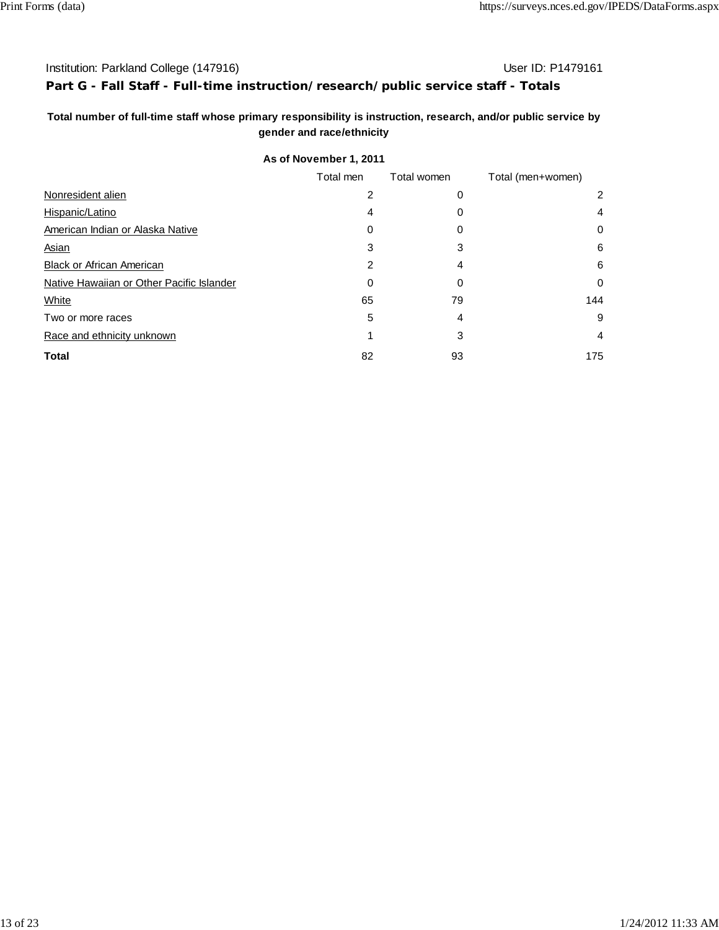## Institution: Parkland College (147916) Contract College (147916)

## **Part G - Fall Staff - Full-time instruction/research/public service staff - Totals**

## **Total number of full-time staff whose primary responsibility is instruction, research, and/or public service by gender and race/ethnicity**

|                                           | Total men | Total women | Total (men+women) |
|-------------------------------------------|-----------|-------------|-------------------|
| Nonresident alien                         | 2         | 0           | 2                 |
| Hispanic/Latino                           | 4         | 0           | 4                 |
| American Indian or Alaska Native          | 0         | 0           | 0                 |
| <b>Asian</b>                              | 3         | 3           | 6                 |
| <b>Black or African American</b>          | 2         | 4           | 6                 |
| Native Hawaiian or Other Pacific Islander | 0         | 0           | 0                 |
| White                                     | 65        | 79          | 144               |
| Two or more races                         | 5         | 4           | 9                 |
| Race and ethnicity unknown                |           | 3           | 4                 |
| <b>Total</b>                              | 82        | 93          | 175               |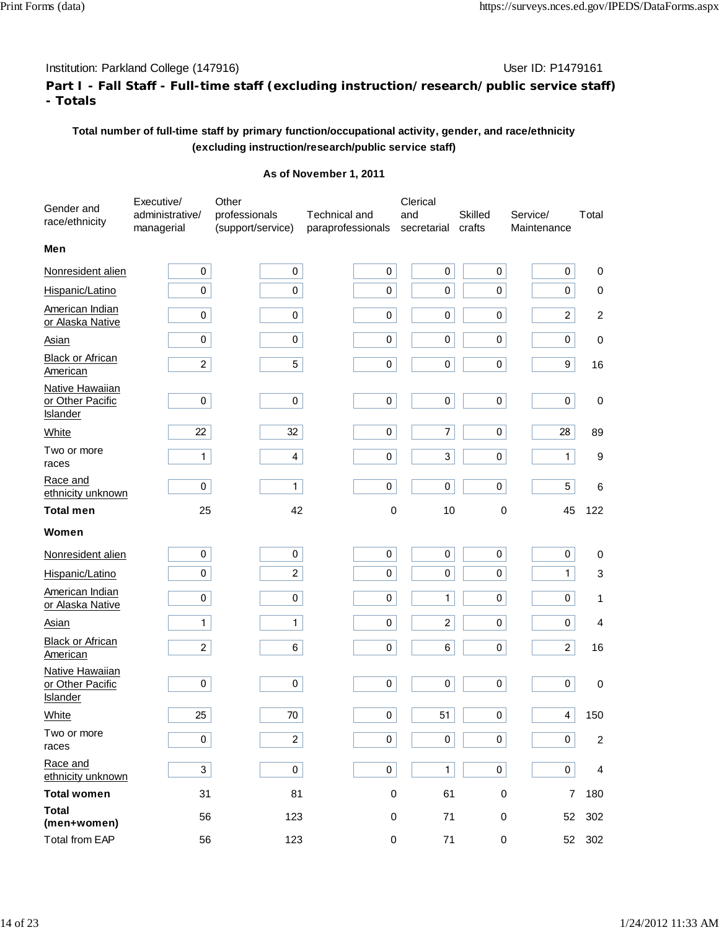# **Part I - Fall Staff - Full-time staff (excluding instruction/research/public service staff) - Totals**

# **Total number of full-time staff by primary function/occupational activity, gender, and race/ethnicity (excluding instruction/research/public service staff)**

| Gender and<br>race/ethnicity                           | Executive/<br>administrative/<br>managerial | Other<br>professionals<br>(support/service) | <b>Technical and</b><br>paraprofessionals | Clerical<br>and<br>secretarial | <b>Skilled</b><br>crafts | Service/<br>Maintenance | Total          |
|--------------------------------------------------------|---------------------------------------------|---------------------------------------------|-------------------------------------------|--------------------------------|--------------------------|-------------------------|----------------|
| Men                                                    |                                             |                                             |                                           |                                |                          |                         |                |
| Nonresident alien                                      | $\pmb{0}$                                   | 0                                           | 0                                         | $\pmb{0}$                      | $\pmb{0}$                | 0                       | 0              |
| Hispanic/Latino                                        | $\pmb{0}$                                   | $\pmb{0}$                                   | 0                                         | 0                              | 0                        | 0                       | 0              |
| American Indian<br>or Alaska Native                    | 0                                           | 0                                           | 0                                         | 0                              | 0                        | $\overline{c}$          | $\overline{c}$ |
| Asian                                                  | $\pmb{0}$                                   | 0                                           | 0                                         | $\pmb{0}$                      | $\pmb{0}$                | 0                       | $\pmb{0}$      |
| <b>Black or African</b><br>American                    | $\overline{c}$                              | 5                                           | 0                                         | 0                              | 0                        | 9                       | 16             |
| Native Hawaiian<br>or Other Pacific<br><b>Islander</b> | $\pmb{0}$                                   | $\pmb{0}$                                   | 0                                         | $\pmb{0}$                      | $\pmb{0}$                | 0                       | $\pmb{0}$      |
| White                                                  | 22                                          | 32                                          | 0                                         | 7                              | $\pmb{0}$                | 28                      | 89             |
| Two or more<br>races                                   | 1                                           | 4                                           | 0                                         | 3                              | $\pmb{0}$                | $\mathbf{1}$            | 9              |
| Race and<br>ethnicity unknown                          | $\pmb{0}$                                   | $\mathbf{1}$                                | 0                                         | 0                              | $\pmb{0}$                | 5                       | 6              |
| <b>Total men</b>                                       | 25                                          | 42                                          | 0                                         | 10                             | 0                        | 45                      | 122            |
| Women                                                  |                                             |                                             |                                           |                                |                          |                         |                |
| Nonresident alien                                      | 0                                           | 0                                           | 0                                         | 0                              | 0                        | 0                       | 0              |
| Hispanic/Latino                                        | $\mathbf 0$                                 | $\overline{c}$                              | 0                                         | 0                              | 0                        | $\mathbf{1}$            | 3              |
| <b>American Indian</b><br>or Alaska Native             | $\pmb{0}$                                   | $\pmb{0}$                                   | 0                                         | $\mathbf{1}$                   | $\pmb{0}$                | 0                       | 1              |
| <u>Asian</u>                                           | $\mathbf{1}$                                | 1                                           | 0                                         | 2                              | 0                        | 0                       | 4              |
| <b>Black or African</b><br>American                    | $\overline{2}$                              | 6                                           | 0                                         | 6                              | 0                        | $\overline{c}$          | 16             |
| Native Hawaiian<br>or Other Pacific<br><b>Islander</b> | $\pmb{0}$                                   | 0                                           | 0                                         | $\pmb{0}$                      | $\pmb{0}$                | 0                       | $\pmb{0}$      |
| White                                                  | 25                                          | 70                                          | $\mathbf 0$                               | 51                             | $\pmb{0}$                | 4                       | 150            |
| Two or more<br>races                                   | 0                                           | $\overline{c}$                              | 0                                         | 0                              | $\pmb{0}$                | 0                       | $\overline{c}$ |
| Race and<br>ethnicity unknown                          | $\mathbf{3}$                                | 0                                           | 0                                         | 1                              | $\bf 0$                  | 0                       | 4              |
| <b>Total women</b>                                     | 31                                          | 81                                          | 0                                         | 61                             | 0                        | 7                       | 180            |
| <b>Total</b><br>(men+women)                            | 56                                          | 123                                         | 0                                         | 71                             | 0                        | 52                      | 302            |
| <b>Total from EAP</b>                                  | 56                                          | 123                                         | $\pmb{0}$                                 | 71                             | 0                        |                         | 52 302         |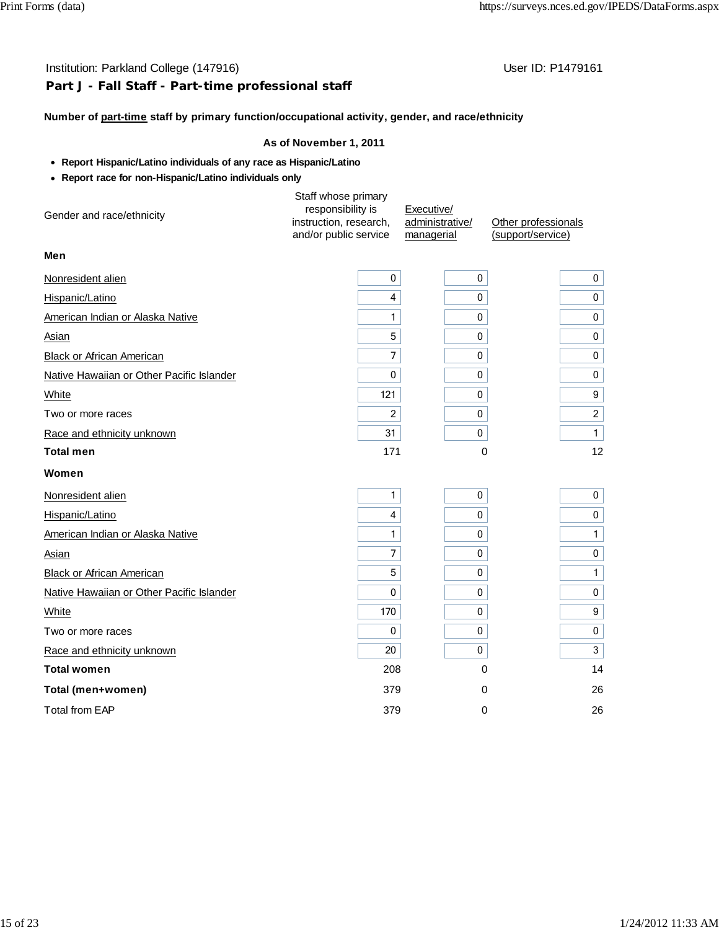# **Part J - Fall Staff - Part-time professional staff**

## **Number of part-time staff by primary function/occupational activity, gender, and race/ethnicity**

- **Report Hispanic/Latino individuals of any race as Hispanic/Latino**
- **Report race for non-Hispanic/Latino individuals only**

| Gender and race/ethnicity                 | Staff whose primary<br>responsibility is<br>instruction, research,<br>and/or public service | Executive/<br>administrative/<br>managerial | Other professionals<br>(support/service) |
|-------------------------------------------|---------------------------------------------------------------------------------------------|---------------------------------------------|------------------------------------------|
| Men                                       |                                                                                             |                                             |                                          |
| Nonresident alien                         | 0                                                                                           | 0                                           | 0                                        |
| Hispanic/Latino                           | 4                                                                                           | 0                                           | 0                                        |
| American Indian or Alaska Native          | 1                                                                                           | 0                                           | 0                                        |
| Asian                                     | 5                                                                                           | 0                                           | $\mathbf 0$                              |
| <b>Black or African American</b>          | $\overline{7}$                                                                              | 0                                           | 0                                        |
| Native Hawaiian or Other Pacific Islander | 0                                                                                           | 0                                           | 0                                        |
| White                                     | 121                                                                                         | 0                                           | 9                                        |
| Two or more races                         | 2                                                                                           | 0                                           | $\overline{2}$                           |
| Race and ethnicity unknown                | 31                                                                                          | 0                                           | $\mathbf{1}$                             |
| <b>Total men</b>                          | 171                                                                                         | $\Omega$                                    | 12                                       |
| Women                                     |                                                                                             |                                             |                                          |
| Nonresident alien                         | 1                                                                                           | 0                                           | 0                                        |
| Hispanic/Latino                           | 4                                                                                           | 0                                           | $\pmb{0}$                                |
| American Indian or Alaska Native          | 1                                                                                           | 0                                           | $\mathbf{1}$                             |
| Asian                                     | 7                                                                                           | 0                                           | $\pmb{0}$                                |
| <b>Black or African American</b>          | 5                                                                                           | 0                                           | $\mathbf{1}$                             |
| Native Hawaiian or Other Pacific Islander | 0                                                                                           | 0                                           | $\mathbf 0$                              |
| White                                     | 170                                                                                         | 0                                           | 9                                        |
| Two or more races                         | 0                                                                                           | 0                                           | 0                                        |
| Race and ethnicity unknown                | 20                                                                                          | 0                                           | 3                                        |
| <b>Total women</b>                        | 208                                                                                         | $\mathbf 0$                                 | 14                                       |
| Total (men+women)                         | 379                                                                                         | 0                                           | 26                                       |
| <b>Total from EAP</b>                     | 379                                                                                         | 0                                           | 26                                       |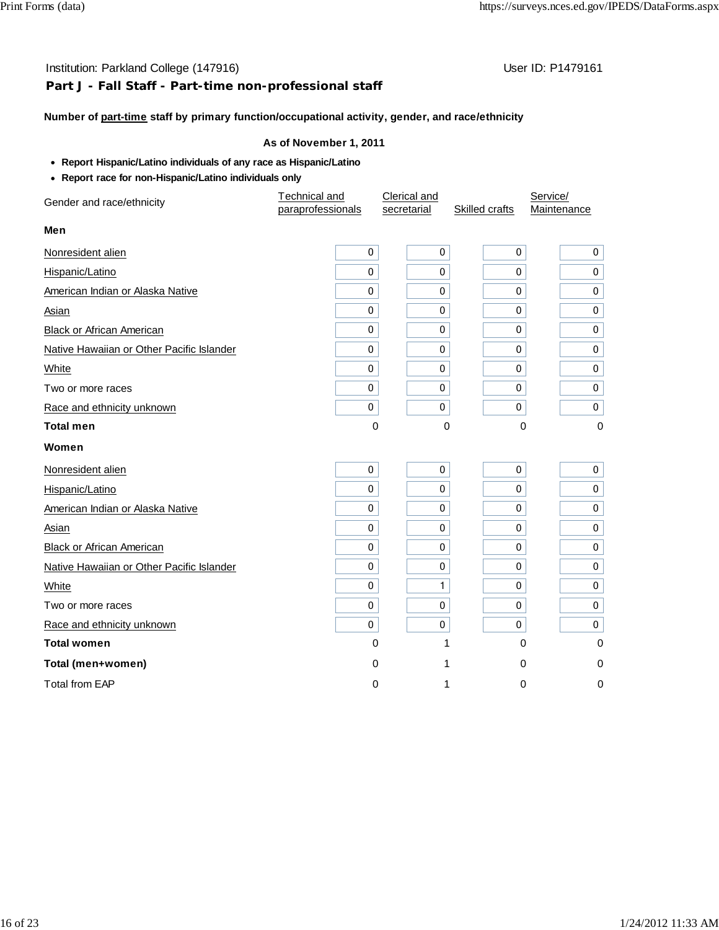## **Part J - Fall Staff - Part-time non-professional staff**

#### **Number of part-time staff by primary function/occupational activity, gender, and race/ethnicity**

- **Report Hispanic/Latino individuals of any race as Hispanic/Latino**
- **Report race for non-Hispanic/Latino individuals only**

| Gender and race/ethnicity                 | Technical and     | Clerical and |                | Service/       |  |
|-------------------------------------------|-------------------|--------------|----------------|----------------|--|
|                                           | paraprofessionals | secretarial  | Skilled crafts | Maintenance    |  |
| Men                                       |                   |              |                |                |  |
| Nonresident alien                         | 0                 | $\pmb{0}$    | 0              | $\mathbf 0$    |  |
| Hispanic/Latino                           | 0                 | 0            | 0              | $\mathbf 0$    |  |
| American Indian or Alaska Native          | 0                 | 0            | 0              | 0              |  |
| Asian                                     | 0                 | 0            | 0              | $\mathbf 0$    |  |
| Black or African American                 | 0                 | $\mathbf 0$  | 0              | $\mathbf 0$    |  |
| Native Hawaiian or Other Pacific Islander | 0                 | $\mathbf 0$  | 0              | 0              |  |
| White                                     | 0                 | 0            | 0              | $\mathbf 0$    |  |
| Two or more races                         | $\mathbf 0$       | 0            | 0              | 0 <sup>1</sup> |  |
| Race and ethnicity unknown                | $\pmb{0}$         | $\pmb{0}$    | 0              | $\mathbf 0$    |  |
| <b>Total men</b>                          | 0                 | 0            | 0              | $\mathbf 0$    |  |
| Women                                     |                   |              |                |                |  |
| Nonresident alien                         | 0                 | 0            | 0              | 0 <sup>1</sup> |  |
| Hispanic/Latino                           | 0                 | 0            | 0              | 0 <sup>1</sup> |  |
| American Indian or Alaska Native          | 0                 | 0            | 0              | 0              |  |
| Asian                                     | 0                 | 0            | 0              | 0              |  |
| <b>Black or African American</b>          | 0                 | 0            | 0              | 0              |  |
| Native Hawaiian or Other Pacific Islander | 0                 | 0            | 0              | 0              |  |
| White                                     | 0                 | 1            | 0              | 0              |  |
| Two or more races                         | $\pmb{0}$         | $\mathbf 0$  | 0              | $\mathbf 0$    |  |
| Race and ethnicity unknown                | 0                 | 0            | 0              | 0 <sup>1</sup> |  |
| <b>Total women</b>                        | 0                 | 1            | 0              | 0              |  |
| Total (men+women)                         | 0                 | 1            | 0              | 0              |  |
| <b>Total from EAP</b>                     | 0                 | 1            | 0              | $\mathbf 0$    |  |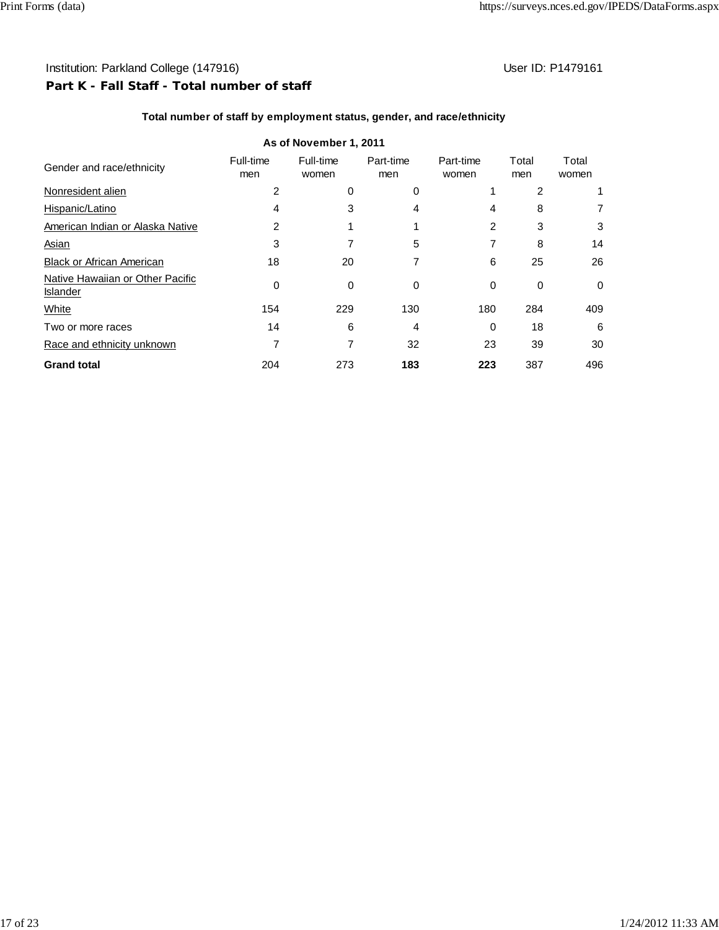# Institution: Parkland College (147916) **Institution: Parkland College (147916) Part K - Fall Staff - Total number of staff**

## **Total number of staff by employment status, gender, and race/ethnicity**

|                                                     |                  | As of November 1, 2011 |                  |                    |              |                |
|-----------------------------------------------------|------------------|------------------------|------------------|--------------------|--------------|----------------|
| Gender and race/ethnicity                           | Full-time<br>men | Full-time<br>women     | Part-time<br>men | Part-time<br>women | Total<br>men | Total<br>women |
| Nonresident alien                                   | 2                | 0                      | 0                |                    | 2            |                |
| Hispanic/Latino                                     | 4                | 3                      | 4                | 4                  | 8            | 7              |
| American Indian or Alaska Native                    | 2                |                        |                  | 2                  | 3            | 3              |
| <b>Asian</b>                                        | 3                |                        | 5                |                    | 8            | 14             |
| <b>Black or African American</b>                    | 18               | 20                     |                  | 6                  | 25           | 26             |
| Native Hawaiian or Other Pacific<br><b>Islander</b> | $\Omega$         | $\Omega$               | 0                | 0                  | 0            | 0              |
| White                                               | 154              | 229                    | 130              | 180                | 284          | 409            |
| Two or more races                                   | 14               | 6                      | 4                | 0                  | 18           | 6              |
| Race and ethnicity unknown                          |                  |                        | 32               | 23                 | 39           | 30             |
| <b>Grand total</b>                                  | 204              | 273                    | 183              | 223                | 387          | 496            |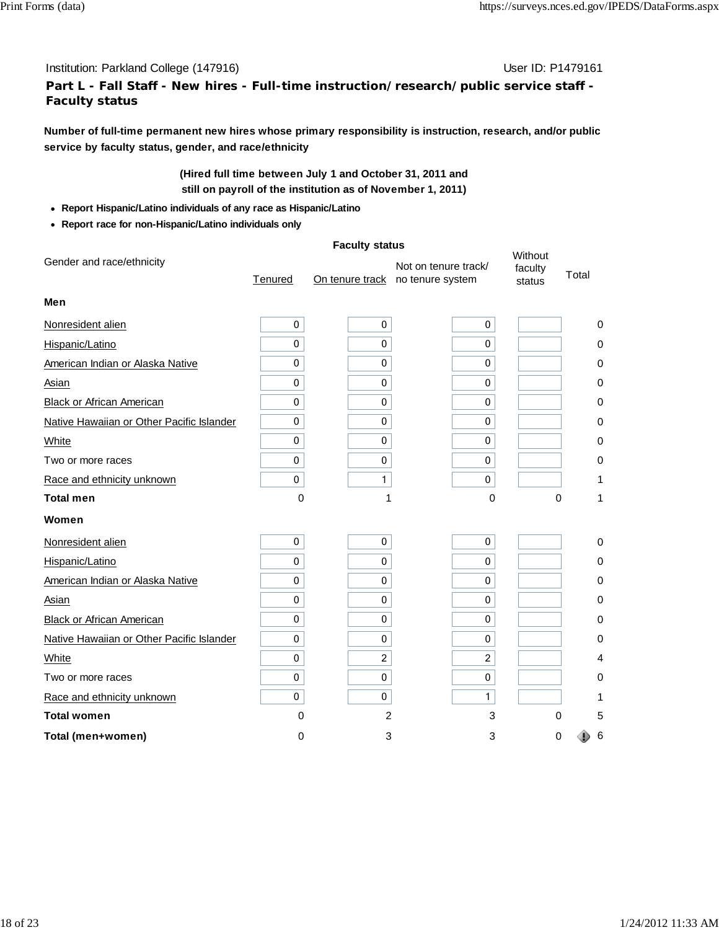# **Part L - Fall Staff - New hires - Full-time instruction/research/public service staff - Faculty status**

**Number of full-time permanent new hires whose primary responsibility is instruction, research, and/or public service by faculty status, gender, and race/ethnicity**

# **(Hired full time between July 1 and October 31, 2011 and still on payroll of the institution as of November 1, 2011)**

- **Report Hispanic/Latino individuals of any race as Hispanic/Latino**
- **Report race for non-Hispanic/Latino individuals only**

|                                           | <b>Faculty status</b> |                |                                                          |                              |             |
|-------------------------------------------|-----------------------|----------------|----------------------------------------------------------|------------------------------|-------------|
| Gender and race/ethnicity                 | Tenured               |                | Not on tenure track/<br>On tenure track no tenure system | Without<br>faculty<br>status | Total       |
| Men                                       |                       |                |                                                          |                              |             |
| Nonresident alien                         | 0                     | 0              | 0                                                        |                              | 0           |
| Hispanic/Latino                           | $\mathbf 0$           | 0              | 0                                                        |                              | 0           |
| American Indian or Alaska Native          | 0                     | 0              | 0                                                        |                              | 0           |
| Asian                                     | 0                     | 0              | 0                                                        |                              | 0           |
| <b>Black or African American</b>          | 0                     | 0              | 0                                                        |                              | 0           |
| Native Hawaiian or Other Pacific Islander | 0                     | 0              | 0                                                        |                              | 0           |
| White                                     | 0                     | 0              | 0                                                        |                              | 0           |
| Two or more races                         | 0                     | 0              | 0                                                        |                              | 0           |
| Race and ethnicity unknown                | 0                     | 1              | $\Omega$                                                 |                              | 1           |
| Total men                                 | 0                     |                | 0                                                        | 0                            | 1           |
| Women                                     |                       |                |                                                          |                              |             |
| Nonresident alien                         | 0                     | 0              | 0                                                        |                              | $\mathbf 0$ |
| Hispanic/Latino                           | 0                     | 0              | 0                                                        |                              | 0           |
| American Indian or Alaska Native          | 0                     | 0              | 0                                                        |                              | 0           |
| Asian                                     | 0                     | 0              | $\Omega$                                                 |                              | 0           |
| <b>Black or African American</b>          | 0                     | 0              | 0                                                        |                              | 0           |
| Native Hawaiian or Other Pacific Islander | 0                     | 0              | 0                                                        |                              | 0           |
| White                                     | 0                     | 2              | 2                                                        |                              | 4           |
| Two or more races                         | 0                     | 0              | 0                                                        |                              | 0           |
| Race and ethnicity unknown                | 0                     | $\mathbf 0$    | 1                                                        |                              |             |
| <b>Total women</b>                        | 0                     | $\overline{2}$ | 3                                                        | 0                            | 5           |
| Total (men+women)                         | 0                     | 3              | 3                                                        | 0                            | 6           |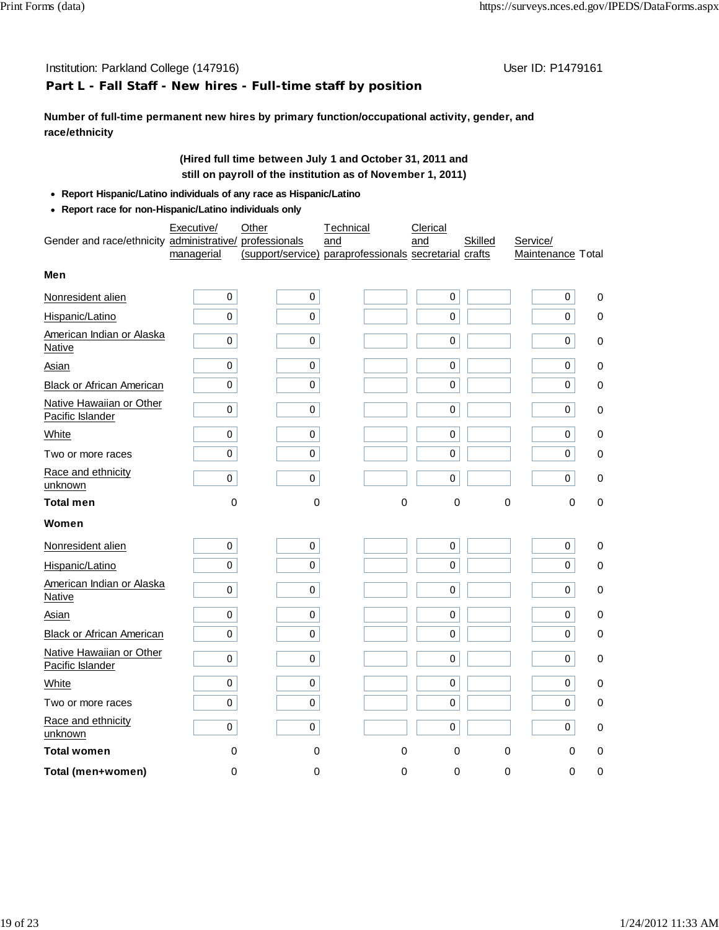## **Part L - Fall Staff - New hires - Full-time staff by position**

**Number of full-time permanent new hires by primary function/occupational activity, gender, and race/ethnicity**

## **(Hired full time between July 1 and October 31, 2011 and still on payroll of the institution as of November 1, 2011)**

- **Report Hispanic/Latino individuals of any race as Hispanic/Latino**
- **Report race for non-Hispanic/Latino individuals only**

|                                                         | Executive/ | Other    | Technical                                                     | Clerical    |             |                               |          |
|---------------------------------------------------------|------------|----------|---------------------------------------------------------------|-------------|-------------|-------------------------------|----------|
| Gender and race/ethnicity administrative/ professionals | managerial |          | and<br>(support/service) paraprofessionals secretarial crafts | and         | Skilled     | Service/<br>Maintenance Total |          |
| Men                                                     |            |          |                                                               |             |             |                               |          |
| Nonresident alien                                       | 0          | 0        |                                                               | 0           |             | 0                             | $\Omega$ |
| Hispanic/Latino                                         | 0          | 0        |                                                               | 0           |             | 0                             | 0        |
| American Indian or Alaska<br>Native                     | 0          | 0        |                                                               | 0           |             | 0                             | 0        |
| Asian                                                   | 0          | 0        |                                                               | 0           |             | 0                             | 0        |
| Black or African American                               | 0          | 0        |                                                               | 0           |             | 0                             | 0        |
| Native Hawaiian or Other<br>Pacific Islander            | 0          | 0        |                                                               | 0           |             | 0                             | 0        |
| White                                                   | 0          | 0        |                                                               | 0           |             | 0                             | 0        |
| Two or more races                                       | $\pmb{0}$  | 0        |                                                               | $\pmb{0}$   |             | $\pmb{0}$                     | 0        |
| Race and ethnicity<br>unknown                           | 0          | 0        |                                                               | $\pmb{0}$   |             | 0                             | 0        |
| <b>Total men</b>                                        | 0          | 0        | 0                                                             | 0           | $\mathbf 0$ | 0                             | 0        |
| Women                                                   |            |          |                                                               |             |             |                               |          |
| Nonresident alien                                       | 0          | 0        |                                                               | $\pmb{0}$   |             | 0                             | 0        |
| Hispanic/Latino                                         | 0          | 0        |                                                               | 0           |             | 0                             | 0        |
| American Indian or Alaska<br>Native                     | 0          | 0        |                                                               | 0           |             | 0                             | 0        |
| <b>Asian</b>                                            | 0          | 0        |                                                               | $\mathbf 0$ |             | 0                             | 0        |
| <b>Black or African American</b>                        | 0          | 0        |                                                               | 0           |             | 0                             | 0        |
| Native Hawaiian or Other<br>Pacific Islander            | 0          | 0        |                                                               | 0           |             | 0                             | 0        |
| White                                                   | $\pmb{0}$  | 0        |                                                               | 0           |             | 0                             | 0        |
| Two or more races                                       | 0          | 0        |                                                               | 0           |             | 0                             | 0        |
| Race and ethnicity<br>unknown                           | 0          | 0        |                                                               | 0           |             | 0                             | 0        |
| <b>Total women</b>                                      | 0          | 0        | $\Omega$                                                      | $\Omega$    | 0           | $\Omega$                      | 0        |
| Total (men+women)                                       | $\Omega$   | $\Omega$ | $\Omega$                                                      | $\Omega$    | 0           | $\Omega$                      | 0        |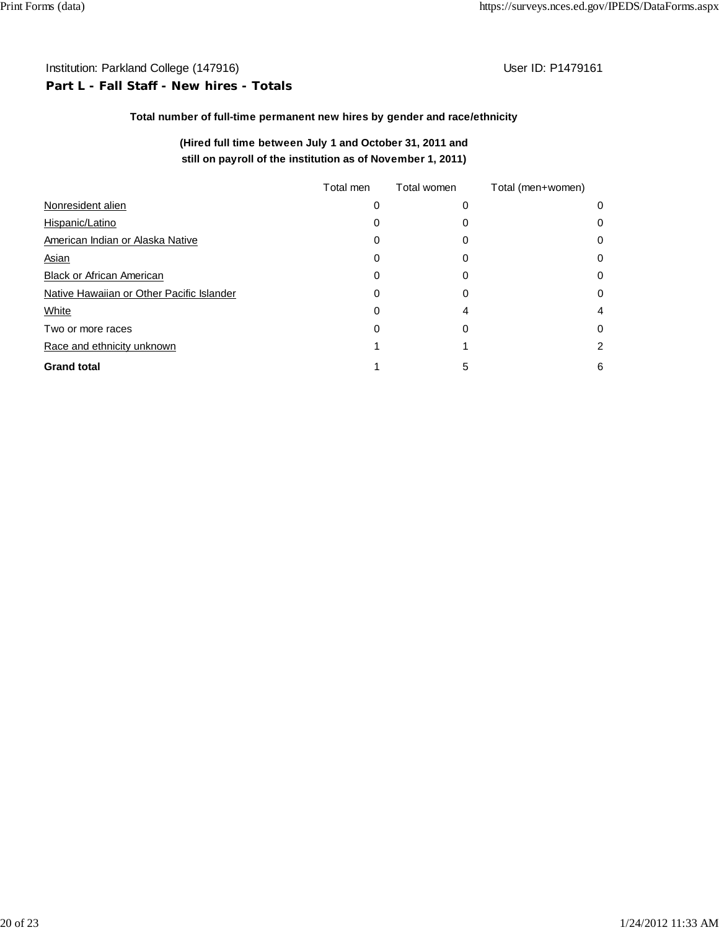# Institution: Parkland College (147916) **Institution: Parkland College (147916**) **Part L - Fall Staff - New hires - Totals**

## **Total number of full-time permanent new hires by gender and race/ethnicity**

## **(Hired full time between July 1 and October 31, 2011 and still on payroll of the institution as of November 1, 2011)**

|                                           | Total men | Total women | Total (men+women) |   |
|-------------------------------------------|-----------|-------------|-------------------|---|
| Nonresident alien                         | 0         | 0           |                   | 0 |
| Hispanic/Latino                           |           |             |                   | 0 |
| American Indian or Alaska Native          |           | O           |                   | 0 |
| <b>Asian</b>                              | O)        |             |                   | 0 |
| <b>Black or African American</b>          |           | 0           |                   | 0 |
| Native Hawaiian or Other Pacific Islander | 0         | 0           |                   | 0 |
| White                                     | 0         |             |                   | 4 |
| Two or more races                         | 0         | 0           |                   | 0 |
| Race and ethnicity unknown                |           |             |                   | 2 |
| <b>Grand total</b>                        |           | 5           |                   | 6 |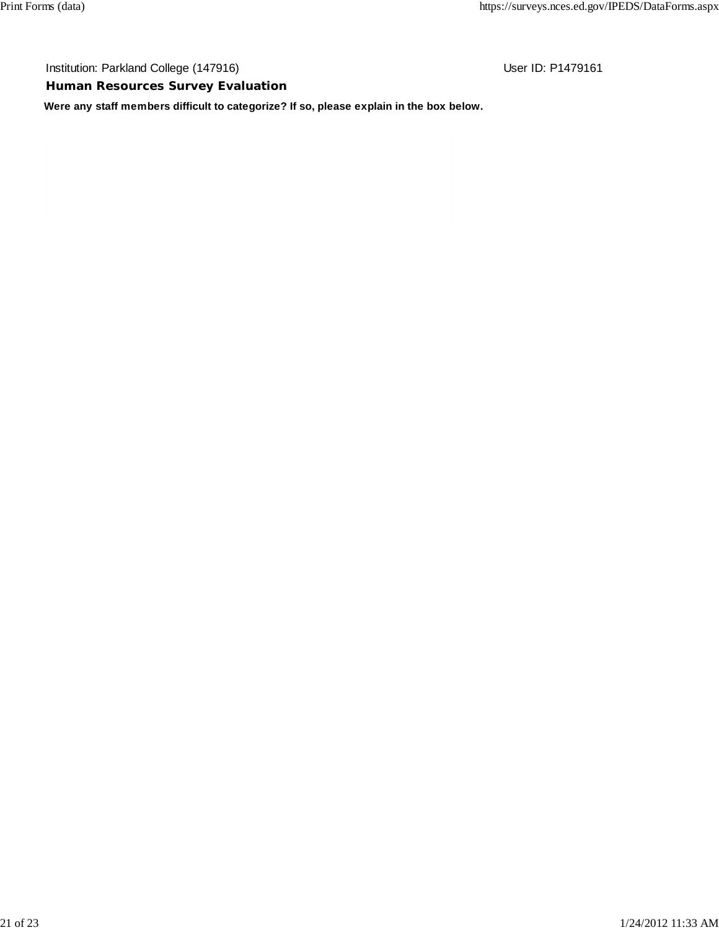**Human Resources Survey Evaluation**

**Were any staff members difficult to categorize? If so, please explain in the box below.**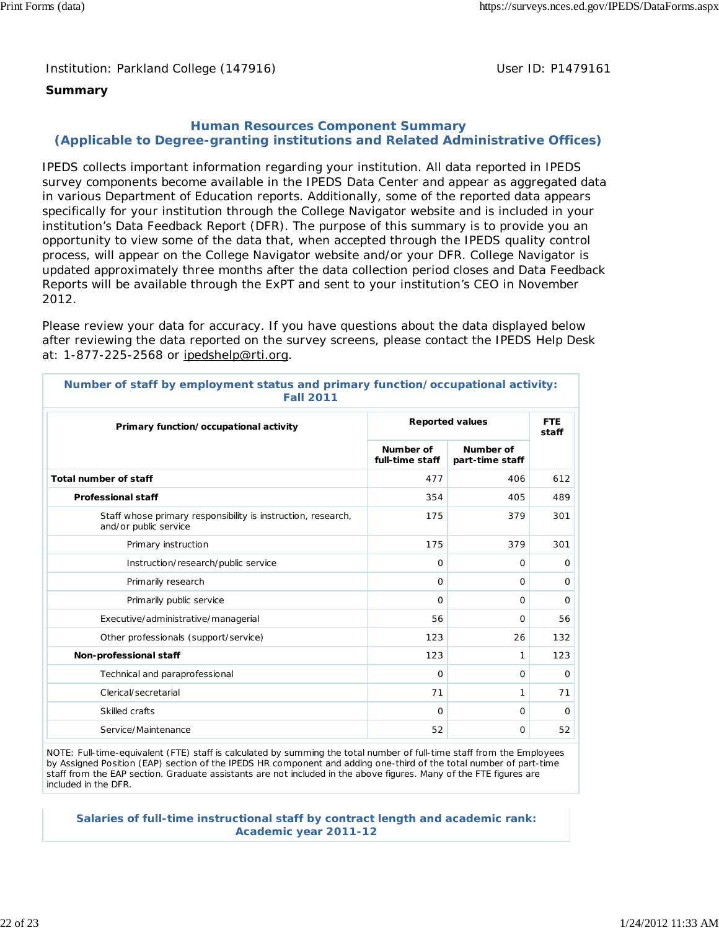Institution: Parkland College (147916) November 2012 10: P1479161

## **Summary**

## **Human Resources Component Summary (Applicable to Degree-granting institutions and Related Administrative Offices)**

IPEDS collects important information regarding your institution. All data reported in IPEDS survey components become available in the IPEDS Data Center and appear as aggregated data in various Department of Education reports. Additionally, some of the reported data appears specifically for your institution through the College Navigator website and is included in your institution's Data Feedback Report (DFR). The purpose of this summary is to provide you an opportunity to view some of the data that, when accepted through the IPEDS quality control process, will appear on the College Navigator website and/or your DFR. College Navigator is updated approximately three months after the data collection period closes and Data Feedback Reports will be available through the ExPT and sent to your institution's CEO in November 2012.

Please review your data for accuracy. If you have questions about the data displayed below after reviewing the data reported on the survey screens, please contact the IPEDS Help Desk at: 1-877-225-2568 or ipedshelp@rti.org.

| <b>Fall 2011</b>                                                                      |                              |                              |     |  |  |
|---------------------------------------------------------------------------------------|------------------------------|------------------------------|-----|--|--|
| Primary function/occupational activity                                                |                              | <b>Reported values</b>       |     |  |  |
|                                                                                       | Number of<br>full-time staff | Number of<br>part-time staff |     |  |  |
| Total number of staff                                                                 | 477                          | 406                          | 612 |  |  |
| <b>Professional staff</b>                                                             | 354                          | 405                          | 489 |  |  |
| Staff whose primary responsibility is instruction, research,<br>and/or public service | 175                          | 379                          | 301 |  |  |
| Primary instruction                                                                   | 175                          | 379                          | 301 |  |  |
| Instruction/research/public service                                                   | $\Omega$                     | 0                            | 0   |  |  |
| Primarily research                                                                    | $\Omega$                     | 0                            | 0   |  |  |
| Primarily public service                                                              | $\Omega$                     | 0                            | 0   |  |  |
| Executive/administrative/managerial                                                   | 56                           | 0                            | 56  |  |  |
| Other professionals (support/service)                                                 | 123                          | 26                           | 132 |  |  |
| Non-professional staff                                                                | 123                          | 1                            | 123 |  |  |
| Technical and paraprofessional                                                        | O                            | 0                            | 0   |  |  |
| Clerical/secretarial                                                                  | 71                           | 1                            | 71  |  |  |
| Skilled crafts                                                                        | $\Omega$                     | 0                            | 0   |  |  |
| Service/Maintenance                                                                   | 52                           | 0                            | 52  |  |  |

**Number of staff by employment status and primary function/occupational activity: Fall 2011**

NOTE: Full-time-equivalent (FTE) staff is calculated by summing the total number of full-time staff from the Employees by Assigned Position (EAP) section of the IPEDS HR component and adding one-third of the total number of part-time staff from the EAP section. Graduate assistants are not included in the above figures. Many of the FTE figures are included in the DFR.

**Salaries of full-time instructional staff by contract length and academic rank: Academic year 2011-12**